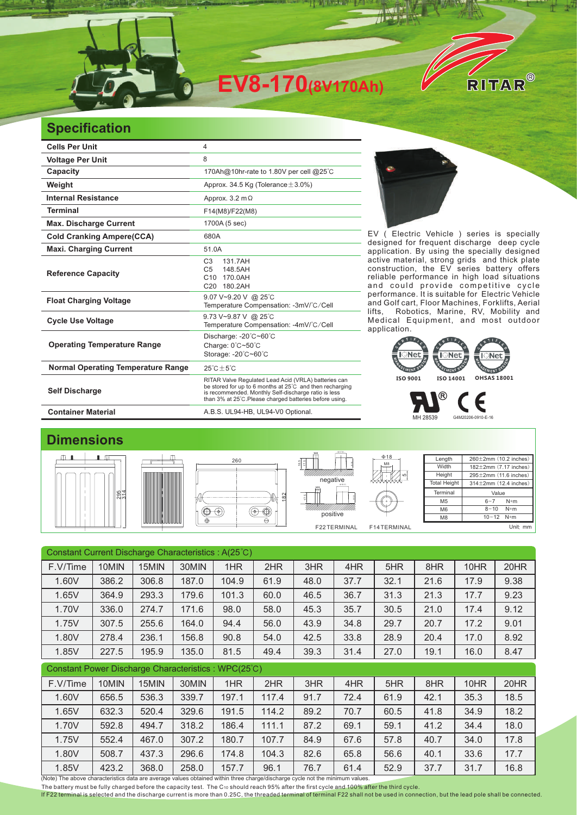

## **Specification**

| <b>Cells Per Unit</b>                     | 4                                                                                                                                                                                                                                   |  |  |  |  |  |
|-------------------------------------------|-------------------------------------------------------------------------------------------------------------------------------------------------------------------------------------------------------------------------------------|--|--|--|--|--|
| <b>Voltage Per Unit</b>                   | 8                                                                                                                                                                                                                                   |  |  |  |  |  |
| Capacity                                  | 170Ah@10hr-rate to 1.80V per cell @25°C                                                                                                                                                                                             |  |  |  |  |  |
| Weight                                    | Approx. 34.5 Kg (Tolerance $\pm$ 3.0%)                                                                                                                                                                                              |  |  |  |  |  |
| <b>Internal Resistance</b>                | Approx. $3.2 \text{ m}\Omega$                                                                                                                                                                                                       |  |  |  |  |  |
| <b>Terminal</b>                           | F14(M8)/F22(M8)                                                                                                                                                                                                                     |  |  |  |  |  |
| <b>Max. Discharge Current</b>             | 1700A (5 sec)                                                                                                                                                                                                                       |  |  |  |  |  |
| <b>Cold Cranking Ampere(CCA)</b>          | 680A                                                                                                                                                                                                                                |  |  |  |  |  |
| <b>Maxi. Charging Current</b>             | 51.0A                                                                                                                                                                                                                               |  |  |  |  |  |
| <b>Reference Capacity</b>                 | C <sub>3</sub><br>131.7AH<br>148.5AH<br>C5<br>170.0AH<br>C <sub>10</sub><br>180.2AH<br>C <sub>20</sub>                                                                                                                              |  |  |  |  |  |
| <b>Float Charging Voltage</b>             | 9.07 V~9.20 V @ 25°C<br>Temperature Compensation: -3mV/°C/Cell                                                                                                                                                                      |  |  |  |  |  |
| <b>Cycle Use Voltage</b>                  | 9.73 V~9.87 V @ 25°C<br>Temperature Compensation: -4mV/°C/Cell                                                                                                                                                                      |  |  |  |  |  |
| <b>Operating Temperature Range</b>        | Discharge: -20°C~60°C<br>Charge: 0°C~50°C<br>Storage: -20°C~60°C                                                                                                                                                                    |  |  |  |  |  |
| <b>Normal Operating Temperature Range</b> | $25^{\circ}$ C + 5 $^{\circ}$ C                                                                                                                                                                                                     |  |  |  |  |  |
| <b>Self Discharge</b>                     | RITAR Valve Regulated Lead Acid (VRLA) batteries can<br>be stored for up to 6 months at 25°C and then recharging<br>is recommended. Monthly Self-discharge ratio is less<br>than 3% at 25°C. Please charged batteries before using. |  |  |  |  |  |
| <b>Container Material</b>                 | A.B.S. UL94-HB, UL94-V0 Optional.                                                                                                                                                                                                   |  |  |  |  |  |



EV ( Electric Vehicle ) series is specially designed for frequent discharge deep cycle application. By using the specially designed active material, strong grids and thick plate construction, the EV series battery offers reliable performance in high load situations and could provide competitive cycle performance. It is suitable for Electric Vehicle and Golf cart, Floor Machines, Forklifts, Aerial lifts, Robotics, Marine, RV, Mobility and Medical Equipment, and most outdoor application. It is suitable for



MH 28539 G4M20206-0910-E-16

Length **Width** Height **Total Height** 

> Terminal M<sub>5</sub> M6 M8

## **Dimensions**









Φ17.9

| UMM.<br>Ιe<br>019.51<br>U,<br>e | ဖာ          |
|---------------------------------|-------------|
| MINAL                           | F14TERMINAL |

 $\frac{M8}{1}$ Φ18

| 12 <sup>7</sup> | n        |  |
|-----------------|----------|--|
|                 | Init: mm |  |

±2mm (10.2 inches) ±2mm (7.17 inches) ±2mm (11.6 inches) ±2mm (12.4 inches)

> Value  $6 - 7$  N\*m  $8 - 10$  N\*m

| Constant Current Discharge Characteristics: A(25°C) |       |       |       |       |       |      |      |      |      |      |      |
|-----------------------------------------------------|-------|-------|-------|-------|-------|------|------|------|------|------|------|
| F.V/Time                                            | 10MIN | 15MIN | 30MIN | 1HR   | 2HR   | 3HR  | 4HR  | 5HR  | 8HR  | 10HR | 20HR |
| 1.60V                                               | 386.2 | 306.8 | 187.0 | 104.9 | 61.9  | 48.0 | 37.7 | 32.1 | 21.6 | 17.9 | 9.38 |
| 1.65V                                               | 364.9 | 293.3 | 179.6 | 101.3 | 60.0  | 46.5 | 36.7 | 31.3 | 21.3 | 17.7 | 9.23 |
| 1.70V                                               | 336.0 | 274.7 | 171.6 | 98.0  | 58.0  | 45.3 | 35.7 | 30.5 | 21.0 | 17.4 | 9.12 |
| 1.75V                                               | 307.5 | 255.6 | 164.0 | 94.4  | 56.0  | 43.9 | 34.8 | 29.7 | 20.7 | 17.2 | 9.01 |
| 1.80V                                               | 278.4 | 236.1 | 156.8 | 90.8  | 54.0  | 42.5 | 33.8 | 28.9 | 20.4 | 17.0 | 8.92 |
| 1.85V                                               | 227.5 | 195.9 | 135.0 | 81.5  | 49.4  | 39.3 | 31.4 | 27.0 | 19.1 | 16.0 | 8.47 |
| Constant Power Discharge Characteristics: WPC(25°C) |       |       |       |       |       |      |      |      |      |      |      |
| F.V/Time                                            | 10MIN | 15MIN | 30MIN | 1HR   | 2HR   | 3HR  | 4HR  | 5HR  | 8HR  | 10HR | 20HR |
| 1.60V                                               | 656.5 | 536.3 | 339.7 | 197.1 | 117.4 | 91.7 | 72.4 | 61.9 | 42.1 | 35.3 | 18.5 |
| 1.65V                                               | 632.3 | 520.4 | 329.6 | 191.5 | 114.2 | 89.2 | 70.7 | 60.5 | 41.8 | 34.9 | 18.2 |
| 1.70V                                               | 592.8 | 494.7 | 318.2 | 186.4 | 111.1 | 87.2 | 69.1 | 59.1 | 41.2 | 34.4 | 18.0 |
| 1.75V                                               | 552.4 | 467.0 | 307.2 | 180.7 | 107.7 | 84.9 | 67.6 | 57.8 | 40.7 | 34.0 | 17.8 |
|                                                     |       |       |       |       |       |      |      |      |      |      |      |
| 1.80V                                               | 508.7 | 437.3 | 296.6 | 174.8 | 104.3 | 82.6 | 65.8 | 56.6 | 40.1 | 33.6 | 17.7 |
| 1.85V                                               | 423.2 | 368.0 | 258.0 | 157.7 | 96.1  | 76.7 | 61.4 | 52.9 | 37.7 | 31.7 | 16.8 |

The battery must be fully charged before the capacity test. The C10 should reach 95% after the first cycle and 100% after the third cycle.

If F22 terminal is selected and the discharge current is more than 0.25C, the threaded terminal of terminal F22 shall not be used in connection, but the lead pole shall be connected.